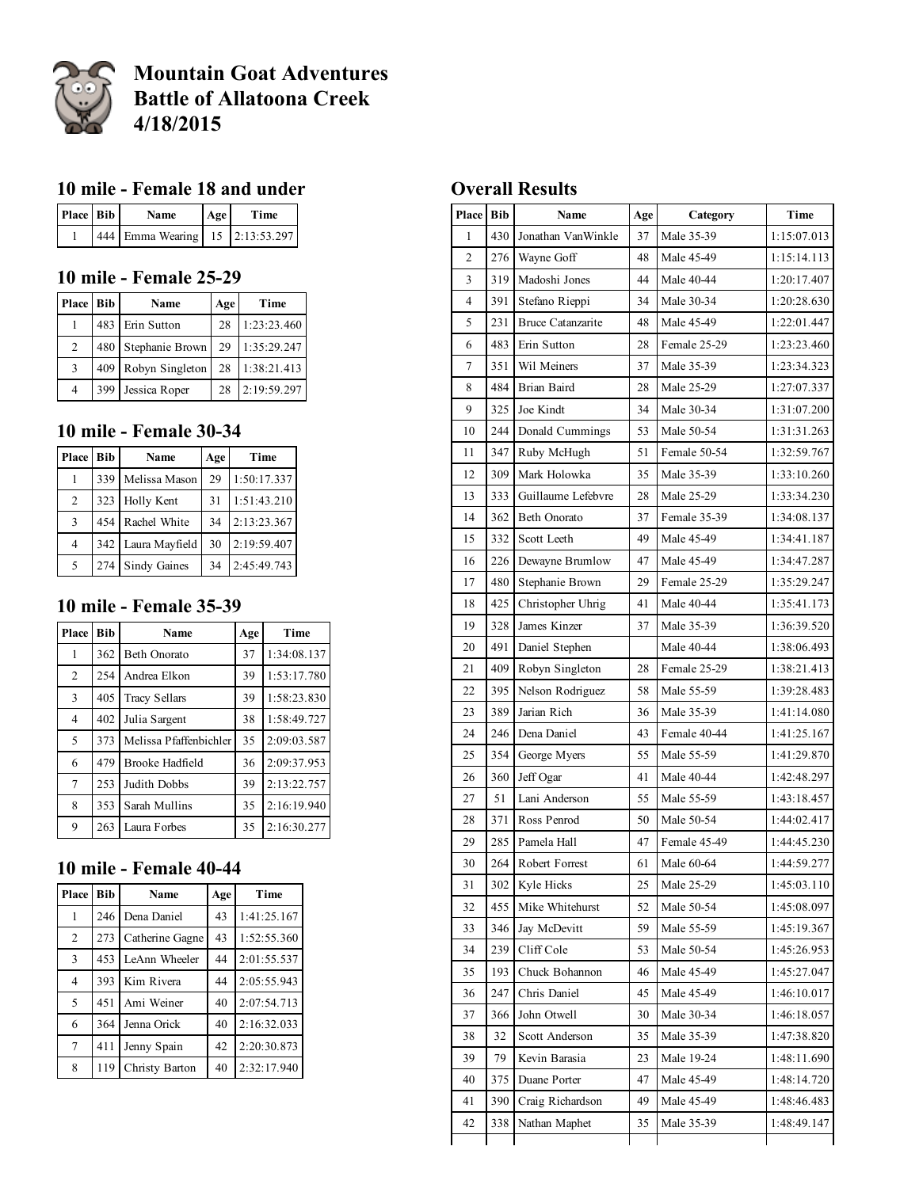

# Mountain Goat Adventures Battle of Allatoona Creek 4/18/2015

## 10 mile - Female 18 and under

| Place Bib | <b>Name</b>                     | Age | Time |
|-----------|---------------------------------|-----|------|
|           | 444 Emma Wearing 15 2:13:53.297 |     |      |

## 10 mile - Female 25-29

| Place Bib      | Name                | Age | Time        |
|----------------|---------------------|-----|-------------|
|                | 483 Erin Sutton     | 28  | 1:23:23.460 |
| $\mathcal{L}$  | 480 Stephanie Brown | 29  | 1:35:29.247 |
| $\mathcal{R}$  | 409 Robyn Singleton | 28  | 1:38:21.413 |
| $\overline{4}$ | 399 Jessica Roper   | 28  | 2:19:59.297 |

## mile Female 3034

| <b>Place Bib</b> |     | Name               | Age | Time        |
|------------------|-----|--------------------|-----|-------------|
|                  | 339 | Melissa Mason      | 29  | 1:50:17.337 |
| 2                |     | 323 Holly Kent     | 31  | 1:51:43.210 |
| $\mathcal{R}$    | 454 | Rachel White       | 34  | 2:13:23.367 |
| $\overline{4}$   |     | 342 Laura Mayfield | 30  | 2:19:59.407 |
| 5                |     | 274 Sindy Gaines   | 34  | 2:45:49.743 |

## 10 mile - Female 35-39

| Place          | <b>Bib</b> | <b>Name</b>            | Age | Time        |
|----------------|------------|------------------------|-----|-------------|
| 1              | 362        | <b>Beth Onorato</b>    | 37  | 1:34:08.137 |
| $\overline{2}$ | 254        | Andrea Elkon           | 39  | 1:53:17.780 |
| 3              | 405        | Tracy Sellars          | 39  | 1:58:23.830 |
| $\overline{4}$ | 402        | Julia Sargent          | 38  | 1:58:49.727 |
| 5              | 373        | Melissa Pfaffenbichler | 35  | 2:09:03.587 |
| 6              | 479        | <b>Brooke Hadfield</b> | 36  | 2:09:37.953 |
| $\overline{7}$ | 253        | Judith Dobbs           | 39  | 2:13:22.757 |
| 8              | 353        | Sarah Mullins          | 35  | 2:16:19.940 |
| 9              | 263        | Laura Forbes           | 35  | 2:16:30.277 |

## 10 mile - Female 40-44

| <b>Place</b>             | <b>Bib</b> | <b>Name</b>     | Age | Time        |
|--------------------------|------------|-----------------|-----|-------------|
|                          | 246        | Dena Daniel     | 43  | 1:41:25.167 |
| 2                        | 273        | Catherine Gagne | 43  | 1:52:55.360 |
| 3                        | 453        | LeAnn Wheeler   | 44  | 2:01:55.537 |
| $\overline{4}$           | 393        | Kim Rivera      | 44  | 2:05:55.943 |
| $\overline{\phantom{0}}$ | 451        | Ami Weiner      | 40  | 2:07:54.713 |
| 6                        | 364        | Jenna Orick     | 40  | 2:16:32.033 |
| 7                        | 411        | Jenny Spain     | 42  | 2:20:30.873 |
| 8                        | 119        | Christy Barton  | 40  | 2:32:17.940 |

### Overall Results

| Place Bib      |     | Name                     | Age | Category     | Time        |
|----------------|-----|--------------------------|-----|--------------|-------------|
| 1              | 430 | Jonathan VanWinkle       | 37  | Male 35-39   | 1:15:07.013 |
| $\overline{2}$ | 276 | Wayne Goff               | 48  | Male 45-49   | 1:15:14.113 |
| 3              | 319 | Madoshi Jones            | 44  | Male 40-44   | 1:20:17.407 |
| 4              | 391 | Stefano Rieppi           | 34  | Male 30-34   | 1:20:28.630 |
| 5              | 231 | <b>Bruce Catanzarite</b> | 48  | Male 45-49   | 1:22:01.447 |
| 6              | 483 | Erin Sutton              | 28  | Female 25-29 | 1:23:23.460 |
| $\tau$         | 351 | Wil Meiners              | 37  | Male 35-39   | 1:23:34.323 |
| 8              | 484 | Brian Baird              | 28  | Male 25-29   | 1:27:07.337 |
| 9              | 325 | Joe Kindt                | 34  | Male 30-34   | 1:31:07.200 |
| 10             | 244 | Donald Cummings          | 53  | Male 50-54   | 1:31:31.263 |
| 11             | 347 | Ruby McHugh              | 51  | Female 50-54 | 1:32:59.767 |
| 12             | 309 | Mark Holowka             | 35  | Male 35-39   | 1:33:10.260 |
| 13             | 333 | Guillaume Lefebvre       | 28  | Male 25-29   | 1:33:34.230 |
| 14             | 362 | <b>Beth Onorato</b>      | 37  | Female 35-39 | 1:34:08.137 |
| 15             | 332 | Scott Leeth              | 49  | Male 45-49   | 1:34:41.187 |
| 16             | 226 | Dewayne Brumlow          | 47  | Male 45-49   | 1:34:47.287 |
| 17             | 480 | Stephanie Brown          | 29  | Female 25-29 | 1:35:29.247 |
| 18             | 425 | Christopher Uhrig        | 41  | Male 40-44   | 1:35:41.173 |
| 19             | 328 | James Kinzer             | 37  | Male 35-39   | 1:36:39.520 |
| 20             | 491 | Daniel Stephen           |     | Male 40-44   | 1:38:06.493 |
| 21             | 409 | Robyn Singleton          | 28  | Female 25-29 | 1:38:21.413 |
| 22             | 395 | Nelson Rodriguez         | 58  | Male 55-59   | 1:39:28.483 |
| 23             | 389 | Jarian Rich              | 36  | Male 35-39   | 1:41:14.080 |
| 24             | 246 | Dena Daniel              | 43  | Female 40-44 | 1:41:25.167 |
| 25             | 354 | George Myers             | 55  | Male 55-59   | 1:41:29.870 |
| 26             | 360 | Jeff Ogar                | 41  | Male 40-44   | 1:42:48.297 |
| 27             | 51  | Lani Anderson            | 55  | Male 55-59   | 1:43:18.457 |
| 28             | 371 | Ross Penrod              | 50  | Male 50-54   | 1:44:02.417 |
| 29             | 285 | Pamela Hall              | 47  | Female 45-49 | 1:44:45.230 |
| 30             | 264 | Robert Forrest           | 61  | Male 60-64   | 1:44:59.277 |
| 31             | 302 | Kyle Hicks               | 25  | Male 25-29   | 1:45:03.110 |
| 32             | 455 | Mike Whitehurst          | 52  | Male 50-54   | 1:45:08.097 |
| 33             | 346 | Jay McDevitt             | 59  | Male 55-59   | 1:45:19.367 |
| 34             | 239 | Cliff Cole               | 53  | Male 50-54   | 1:45:26.953 |
| 35             | 193 | Chuck Bohannon           | 46  | Male 45-49   | 1:45:27.047 |
| 36             | 247 | Chris Daniel             | 45  | Male 45-49   | 1:46:10.017 |
| 37             | 366 | John Otwell              | 30  | Male 30-34   | 1:46:18.057 |
| 38             | 32  | Scott Anderson           | 35  | Male 35-39   | 1:47:38.820 |
| 39             | 79  | Kevin Barasia            | 23  | Male 19-24   | 1:48:11.690 |
| 40             | 375 | Duane Porter             | 47  | Male 45-49   | 1:48:14.720 |
| 41             | 390 | Craig Richardson         | 49  | Male 45-49   | 1:48:46.483 |
| 42             | 338 | Nathan Maphet            | 35  | Male 35-39   | 1:48:49.147 |
|                |     |                          |     |              |             |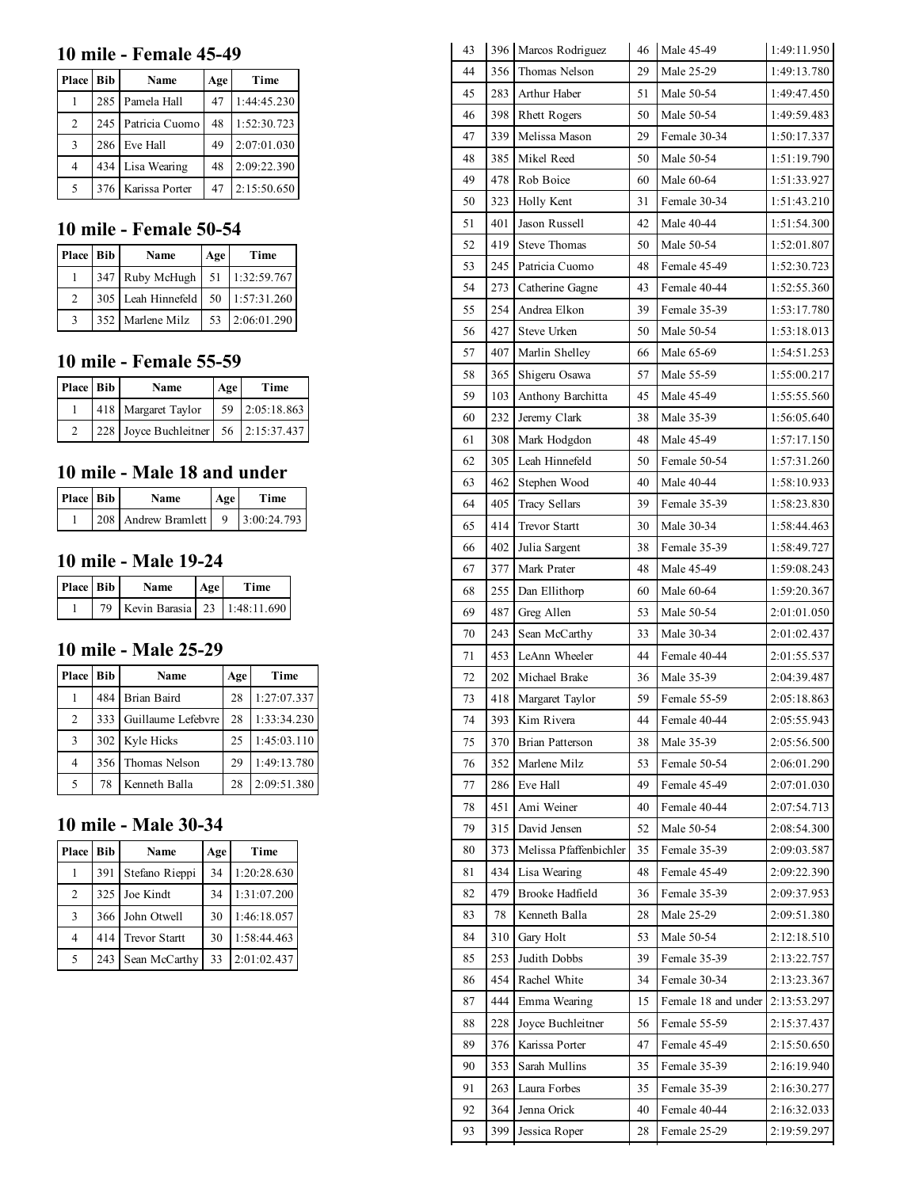#### 10 mile - Female 45-49

| Place Bib | Name               | Age | Time        |
|-----------|--------------------|-----|-------------|
|           | 285 Pamela Hall    | 47  | 1:44:45.230 |
| 2         | 245 Patricia Cuomo | 48  | 1:52:30.723 |
| 3         | 286 Eve Hall       | 49  | 2:07:01.030 |
| 4         | 434 Lisa Wearing   | 48  | 2:09:22.390 |
| 5         | 376 Karissa Porter | 47  | 2:15:50.650 |

## 10 mile - Female 50-54

| Place Bib | Name                              | Age | Time           |
|-----------|-----------------------------------|-----|----------------|
|           | 347 Ruby McHugh 51 1:32:59.767    |     |                |
|           | 305 Leah Hinnefeld 50 1:57:31.260 |     |                |
|           | 352 Marlene Milz                  |     | 53 2:06:01.290 |

## 10 mile - Female 55-59

| Place Bib | <b>Name</b>                          | Age | Time           |
|-----------|--------------------------------------|-----|----------------|
|           | 418 Margaret Taylor                  |     | 59 2:05:18.863 |
|           | 228 Joyce Buchleitner 56 2:15:37.437 |     |                |

## 10 mile - Male 18 and under

| Place Bib | Name                              | Age | Time |
|-----------|-----------------------------------|-----|------|
|           | 208 Andrew Bramlett 9 3:00:24.793 |     |      |

#### 10 mile - Male 19-24

| Place Bib | <b>Name</b>                     | Age | <b>Time</b> |
|-----------|---------------------------------|-----|-------------|
|           | 79 Kevin Barasia 23 1:48:11.690 |     |             |

## 10 mile - Male 25-29

| Place Bib |    | Name                   | Age | Time        |
|-----------|----|------------------------|-----|-------------|
|           |    | 484 Brian Baird        | 28  | 1:27:07.337 |
| 2         |    | 333 Guillaume Lefebvre | 28  | 1:33:34.230 |
| 3         |    | 302 Kyle Hicks         | 25  | 1:45:03.110 |
| 4         |    | 356 Thomas Nelson      | 29  | 1:49:13.780 |
|           | 78 | Kenneth Balla          | 28  | 2:09:51.380 |

### 10 mile - Male 30-34

| Place Bib      |     | Name                 | Age | Time        |
|----------------|-----|----------------------|-----|-------------|
|                | 391 | Stefano Rieppi       | 34  | 1:20:28.630 |
| $\mathfrak{D}$ |     | 325 Joe Kindt        | 34  | 1:31:07.200 |
| 3              |     | 366 John Otwell      | 30  | 1:46:18.057 |
| 4              | 414 | <b>Trevor Startt</b> | 30  | 1:58:44.463 |
| 5              | 243 | Sean McCarthy        | 33  | 2:01:02.437 |

| 43 |     | 396 Marcos Rodriguez   | 46 | Male 45-49          | 1:49:11.950 |
|----|-----|------------------------|----|---------------------|-------------|
| 44 | 356 | Thomas Nelson          | 29 | Male 25-29          | 1:49:13.780 |
| 45 | 283 | Arthur Haber           | 51 | Male 50-54          | 1:49:47.450 |
| 46 | 398 | <b>Rhett Rogers</b>    | 50 | Male 50-54          | 1:49:59.483 |
| 47 | 339 | Melissa Mason          | 29 | Female 30-34        | 1:50:17.337 |
| 48 | 385 | Mikel Reed             | 50 | Male 50-54          | 1:51:19.790 |
| 49 | 478 | Rob Boice              | 60 | Male 60-64          | 1:51:33.927 |
| 50 | 323 | Holly Kent             | 31 | Female 30-34        | 1:51:43.210 |
| 51 | 401 | Jason Russell          | 42 | Male 40-44          | 1:51:54.300 |
| 52 | 419 | <b>Steve Thomas</b>    | 50 | Male 50-54          | 1:52:01.807 |
| 53 | 245 | Patricia Cuomo         | 48 | Female 45-49        | 1:52:30.723 |
| 54 | 273 | Catherine Gagne        | 43 | Female 40-44        | 1:52:55.360 |
| 55 | 254 | Andrea Elkon           | 39 | Female 35-39        | 1:53:17.780 |
| 56 | 427 | Steve Urken            | 50 | Male 50-54          | 1:53:18.013 |
| 57 | 407 | Marlin Shelley         | 66 | Male 65-69          | 1:54:51.253 |
| 58 | 365 | Shigeru Osawa          | 57 | Male 55-59          | 1:55:00.217 |
| 59 | 103 | Anthony Barchitta      | 45 | Male 45-49          | 1:55:55.560 |
| 60 | 232 | Jeremy Clark           | 38 | Male 35-39          | 1:56:05.640 |
| 61 | 308 | Mark Hodgdon           | 48 | Male 45-49          | 1:57:17.150 |
| 62 | 305 | Leah Hinnefeld         | 50 | Female 50-54        | 1:57:31.260 |
| 63 | 462 | Stephen Wood           | 40 | Male 40-44          | 1:58:10.933 |
| 64 | 405 | <b>Tracy Sellars</b>   | 39 | Female 35-39        | 1:58:23.830 |
| 65 | 414 | <b>Trevor Startt</b>   | 30 | Male 30-34          | 1:58:44.463 |
| 66 | 402 | Julia Sargent          | 38 | Female 35-39        | 1:58:49.727 |
| 67 | 377 | Mark Prater            | 48 | Male 45-49          | 1:59:08.243 |
| 68 | 255 | Dan Ellithorp          | 60 | Male 60-64          | 1:59:20.367 |
| 69 | 487 | Greg Allen             | 53 | Male 50-54          | 2:01:01.050 |
| 70 | 243 | Sean McCarthy          | 33 | Male 30-34          | 2:01:02.437 |
| 71 | 453 | LeAnn Wheeler          | 44 | Female 40-44        | 2:01:55.537 |
| 72 | 202 | Michael Brake          | 36 | Male 35-39          | 2:04:39.487 |
| 73 | 418 | Margaret Taylor        | 59 | Female 55-59        | 2:05:18.863 |
| 74 | 393 | Kim Rivera             | 44 | Female 40-44        | 2:05:55.943 |
| 75 | 370 | <b>Brian Patterson</b> | 38 | Male 35-39          | 2:05:56.500 |
| 76 | 352 | Marlene Milz           | 53 | Female 50-54        | 2:06:01.290 |
| 77 | 286 | Eve Hall               | 49 | Female 45-49        | 2:07:01.030 |
| 78 | 451 | Ami Weiner             | 40 | Female 40-44        | 2:07:54.713 |
| 79 | 315 | David Jensen           | 52 | Male 50-54          | 2:08:54.300 |
| 80 | 373 | Melissa Pfaffenbichler | 35 | Female 35-39        | 2:09:03.587 |
| 81 | 434 | Lisa Wearing           | 48 | Female 45-49        | 2:09:22.390 |
| 82 | 479 | Brooke Hadfield        | 36 | Female 35-39        | 2:09:37.953 |
| 83 | 78  | Kenneth Balla          | 28 | Male 25-29          | 2:09:51.380 |
| 84 | 310 | Gary Holt              | 53 | Male 50-54          | 2:12:18.510 |
| 85 | 253 | Judith Dobbs           | 39 | Female 35-39        | 2:13:22.757 |
| 86 | 454 | Rachel White           | 34 | Female 30-34        | 2:13:23.367 |
| 87 | 444 | Emma Wearing           | 15 | Female 18 and under | 2:13:53.297 |
| 88 | 228 | Joyce Buchleitner      | 56 | Female 55-59        | 2:15:37.437 |
| 89 | 376 | Karissa Porter         | 47 | Female 45-49        | 2:15:50.650 |
| 90 | 353 | Sarah Mullins          | 35 | Female 35-39        | 2:16:19.940 |
| 91 | 263 | Laura Forbes           | 35 | Female 35-39        | 2:16:30.277 |
| 92 | 364 | Jenna Orick            | 40 | Female 40-44        | 2:16:32.033 |
| 93 | 399 | Jessica Roper          | 28 | Female 25-29        | 2:19:59.297 |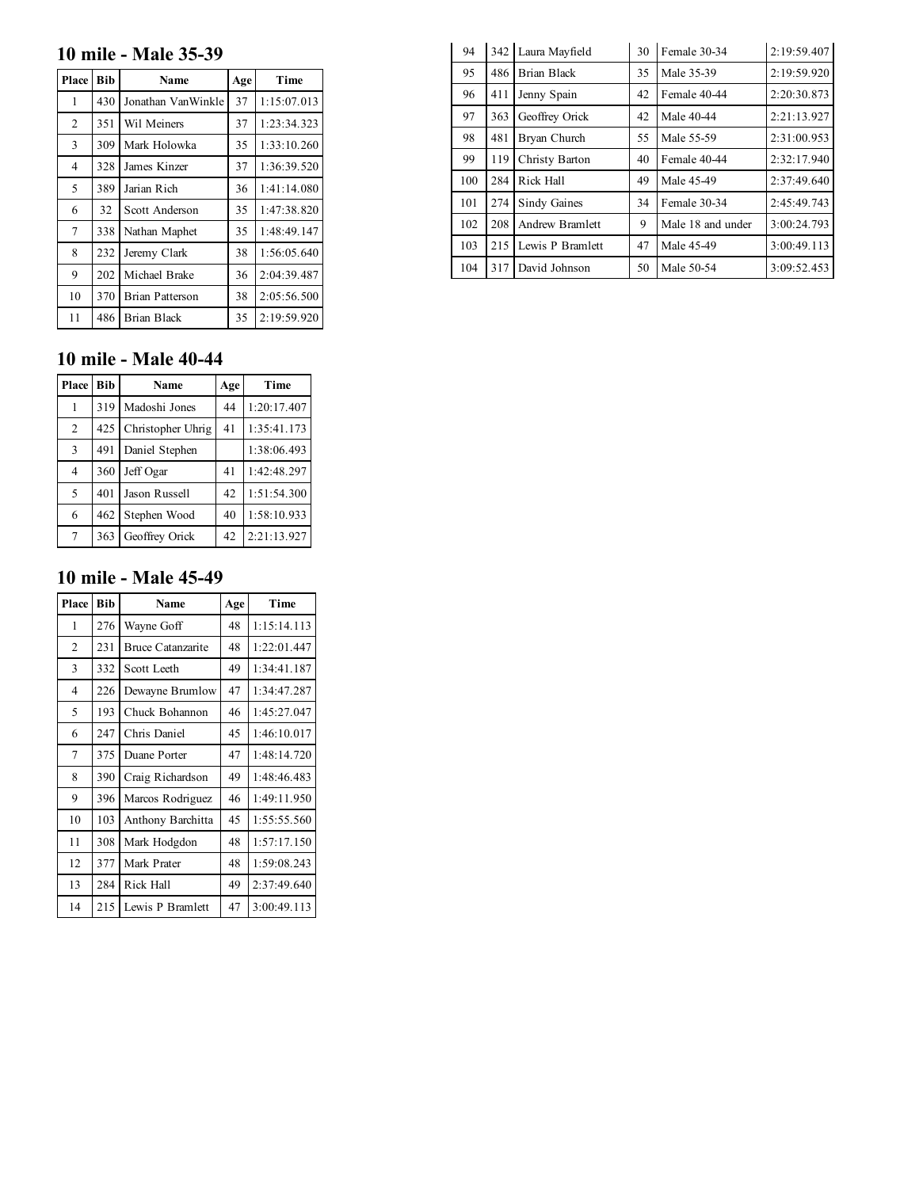## 10 mile - Male 35-39

| Place          | <b>Bib</b> | <b>Name</b>        | Age | Time        |
|----------------|------------|--------------------|-----|-------------|
| 1              | 430        | Jonathan VanWinkle | 37  | 1:15:07.013 |
| $\overline{2}$ | 351        | Wil Meiners        | 37  | 1:23:34.323 |
| 3              | 309        | Mark Holowka       | 35  | 1:33:10.260 |
| 4              | 328        | James Kinzer       | 37  | 1:36:39.520 |
| 5              | 389        | Jarian Rich        | 36  | 1:41:14.080 |
| 6              | 32         | Scott Anderson     | 35  | 1:47:38.820 |
| 7              | 338        | Nathan Maphet      | 35  | 1:48:49.147 |
| 8              | 232        | Jeremy Clark       | 38  | 1:56:05.640 |
| 9              | 202        | Michael Brake      | 36  | 2:04:39.487 |
| 10             | 370        | Brian Patterson    | 38  | 2:05:56.500 |
| 11             | 486        | Brian Black        | 35  | 2:19:59.920 |

## 10 mile - Male 40-44

| Place Bib      |     | <b>Name</b>       | Age | Time        |
|----------------|-----|-------------------|-----|-------------|
|                |     | 319 Madoshi Jones | 44  | 1:20:17.407 |
| $\overline{2}$ | 425 | Christopher Uhrig | 41  | 1:35:41.173 |
| 3              | 491 | Daniel Stephen    |     | 1:38:06.493 |
| $\overline{4}$ | 360 | Jeff Ogar         | 41  | 1:42:48.297 |
| 5              | 401 | Jason Russell     | 42  | 1:51:54.300 |
| 6              | 462 | Stephen Wood      | 40  | 1:58:10.933 |
| 7              | 363 | Geoffrey Orick    | 42  | 2:21:13.927 |

### 10 mile - Male 45-49

| Place          | <b>Bib</b> | Name                     | Age | Time        |
|----------------|------------|--------------------------|-----|-------------|
| 1              | 276        | Wayne Goff               | 48  | 1:15:14.113 |
| $\overline{2}$ | 231        | <b>Bruce Catanzarite</b> | 48  | 1:22:01.447 |
| 3              | 332        | Scott Leeth              | 49  | 1:34:41.187 |
| $\overline{4}$ | 226        | Dewayne Brumlow          | 47  | 1:34:47.287 |
| 5              | 193        | Chuck Bohannon           | 46  | 1:45:27.047 |
| 6              | 247        | Chris Daniel             | 45  | 1:46:10.017 |
| 7              | 375        | Duane Porter             | 47  | 1:48:14.720 |
| 8              | 390        | Craig Richardson         | 49  | 1:48:46.483 |
| 9              | 396        | Marcos Rodriguez         | 46  | 1:49:11.950 |
| 10             | 103        | Anthony Barchitta        | 45  | 1:55:55.560 |
| 11             | 308        | Mark Hodgdon             | 48  | 1:57:17.150 |
| 12             | 377        | Mark Prater              | 48  | 1:59:08.243 |
| 13             | 284        | Rick Hall                | 49  | 2:37:49.640 |
| 14             | 215        | Lewis P Bramlett         | 47  | 3:00:49.113 |

| 94  | 342 | Laura Mayfield      | 30 | Female 30-34      | 2:19:59.407 |
|-----|-----|---------------------|----|-------------------|-------------|
| 95  | 486 | Brian Black         | 35 | Male 35-39        | 2:19:59.920 |
| 96  | 411 | Jenny Spain         | 42 | Female 40-44      | 2:20:30.873 |
| 97  | 363 | Geoffrey Orick      | 42 | Male 40-44        | 2:21:13.927 |
| 98  | 481 | Bryan Church        | 55 | Male 55-59        | 2:31:00.953 |
| 99  | 119 | Christy Barton      | 40 | Female 40-44      | 2:32:17.940 |
| 100 | 284 | Rick Hall           | 49 | Male 45-49        | 2:37:49.640 |
| 101 | 274 | <b>Sindy Gaines</b> | 34 | Female 30-34      | 2:45:49.743 |
| 102 | 208 | Andrew Bramlett     | 9  | Male 18 and under | 3:00:24.793 |
| 103 | 215 | Lewis P Bramlett    | 47 | Male 45-49        | 3:00:49.113 |
| 104 | 317 | David Johnson       | 50 | Male 50-54        | 3:09:52.453 |